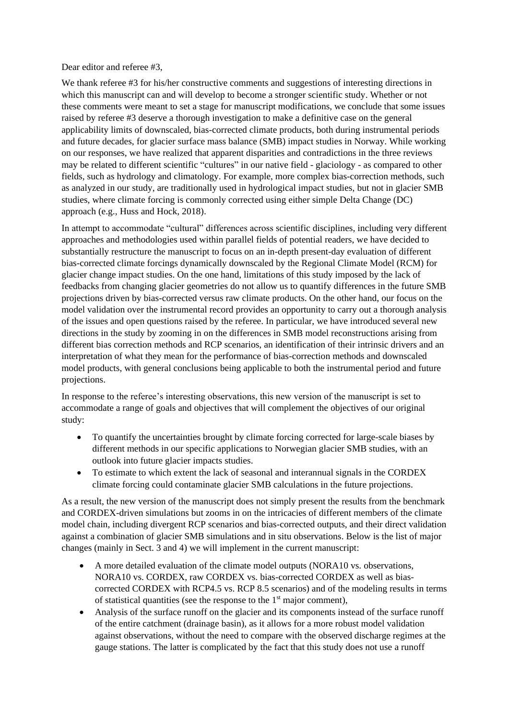Dear editor and referee #3,

We thank referee #3 for his/her constructive comments and suggestions of interesting directions in which this manuscript can and will develop to become a stronger scientific study. Whether or not these comments were meant to set a stage for manuscript modifications, we conclude that some issues raised by referee #3 deserve a thorough investigation to make a definitive case on the general applicability limits of downscaled, bias-corrected climate products, both during instrumental periods and future decades, for glacier surface mass balance (SMB) impact studies in Norway. While working on our responses, we have realized that apparent disparities and contradictions in the three reviews may be related to different scientific "cultures" in our native field - glaciology - as compared to other fields, such as hydrology and climatology. For example, more complex bias-correction methods, such as analyzed in our study, are traditionally used in hydrological impact studies, but not in glacier SMB studies, where climate forcing is commonly corrected using either simple Delta Change (DC) approach (e.g., Huss and Hock, 2018).

In attempt to accommodate "cultural" differences across scientific disciplines, including very different approaches and methodologies used within parallel fields of potential readers, we have decided to substantially restructure the manuscript to focus on an in-depth present-day evaluation of different bias-corrected climate forcings dynamically downscaled by the Regional Climate Model (RCM) for glacier change impact studies. On the one hand, limitations of this study imposed by the lack of feedbacks from changing glacier geometries do not allow us to quantify differences in the future SMB projections driven by bias-corrected versus raw climate products. On the other hand, our focus on the model validation over the instrumental record provides an opportunity to carry out a thorough analysis of the issues and open questions raised by the referee. In particular, we have introduced several new directions in the study by zooming in on the differences in SMB model reconstructions arising from different bias correction methods and RCP scenarios, an identification of their intrinsic drivers and an interpretation of what they mean for the performance of bias-correction methods and downscaled model products, with general conclusions being applicable to both the instrumental period and future projections.

In response to the referee's interesting observations, this new version of the manuscript is set to accommodate a range of goals and objectives that will complement the objectives of our original study:

- To quantify the uncertainties brought by climate forcing corrected for large-scale biases by different methods in our specific applications to Norwegian glacier SMB studies, with an outlook into future glacier impacts studies.
- To estimate to which extent the lack of seasonal and interannual signals in the CORDEX climate forcing could contaminate glacier SMB calculations in the future projections.

As a result, the new version of the manuscript does not simply present the results from the benchmark and CORDEX-driven simulations but zooms in on the intricacies of different members of the climate model chain, including divergent RCP scenarios and bias-corrected outputs, and their direct validation against a combination of glacier SMB simulations and in situ observations. Below is the list of major changes (mainly in Sect. 3 and 4) we will implement in the current manuscript:

- A more detailed evaluation of the climate model outputs (NORA10 vs. observations, NORA10 vs. CORDEX, raw CORDEX vs. bias-corrected CORDEX as well as biascorrected CORDEX with RCP4.5 vs. RCP 8.5 scenarios) and of the modeling results in terms of statistical quantities (see the response to the  $1<sup>st</sup>$  major comment),
- Analysis of the surface runoff on the glacier and its components instead of the surface runoff of the entire catchment (drainage basin), as it allows for a more robust model validation against observations, without the need to compare with the observed discharge regimes at the gauge stations. The latter is complicated by the fact that this study does not use a runoff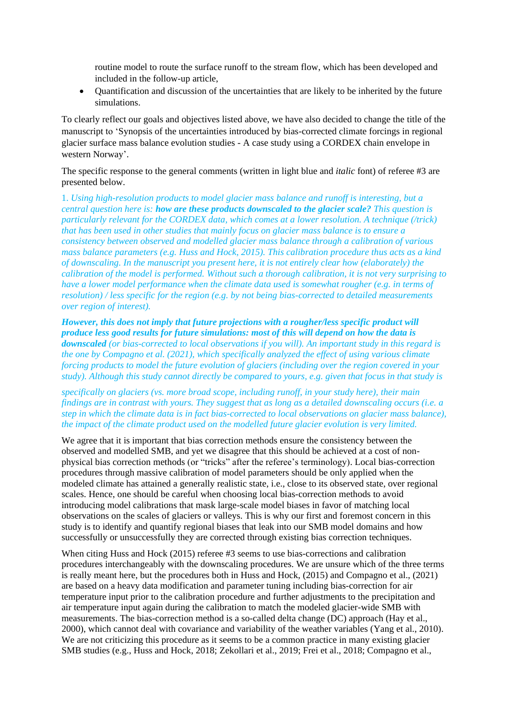routine model to route the surface runoff to the stream flow, which has been developed and included in the follow-up article,

• Quantification and discussion of the uncertainties that are likely to be inherited by the future simulations.

To clearly reflect our goals and objectives listed above, we have also decided to change the title of the manuscript to 'Synopsis of the uncertainties introduced by bias-corrected climate forcings in regional glacier surface mass balance evolution studies - A case study using a CORDEX chain envelope in western Norway'.

The specific response to the general comments (written in light blue and *italic* font) of referee #3 are presented below.

1. *Using high-resolution products to model glacier mass balance and runoff is interesting, but a central question here is: how are these products downscaled to the glacier scale? This question is particularly relevant for the CORDEX data, which comes at a lower resolution. A technique (/trick) that has been used in other studies that mainly focus on glacier mass balance is to ensure a consistency between observed and modelled glacier mass balance through a calibration of various mass balance parameters (e.g. Huss and Hock, 2015). This calibration procedure thus acts as a kind of downscaling. In the manuscript you present here, it is not entirely clear how (elaborately) the calibration of the model is performed. Without such a thorough calibration, it is not very surprising to have a lower model performance when the climate data used is somewhat rougher (e.g. in terms of resolution) / less specific for the region (e.g. by not being bias-corrected to detailed measurements over region of interest).*

*However, this does not imply that future projections with a rougher/less specific product will produce less good results for future simulations: most of this will depend on how the data is downscaled (or bias-corrected to local observations if you will). An important study in this regard is the one by Compagno et al. (2021), which specifically analyzed the effect of using various climate forcing products to model the future evolution of glaciers (including over the region covered in your study). Although this study cannot directly be compared to yours, e.g. given that focus in that study is*

*specifically on glaciers (vs. more broad scope, including runoff, in your study here), their main findings are in contrast with yours. They suggest that as long as a detailed downscaling occurs (i.e. a step in which the climate data is in fact bias-corrected to local observations on glacier mass balance), the impact of the climate product used on the modelled future glacier evolution is very limited.*

We agree that it is important that bias correction methods ensure the consistency between the observed and modelled SMB, and yet we disagree that this should be achieved at a cost of nonphysical bias correction methods (or "tricks" after the referee's terminology). Local bias-correction procedures through massive calibration of model parameters should be only applied when the modeled climate has attained a generally realistic state, i.e., close to its observed state, over regional scales. Hence, one should be careful when choosing local bias-correction methods to avoid introducing model calibrations that mask large-scale model biases in favor of matching local observations on the scales of glaciers or valleys. This is why our first and foremost concern in this study is to identify and quantify regional biases that leak into our SMB model domains and how successfully or unsuccessfully they are corrected through existing bias correction techniques.

When citing Huss and Hock (2015) referee #3 seems to use bias-corrections and calibration procedures interchangeably with the downscaling procedures. We are unsure which of the three terms is really meant here, but the procedures both in Huss and Hock, (2015) and Compagno et al., (2021) are based on a heavy data modification and parameter tuning including bias-correction for air temperature input prior to the calibration procedure and further adjustments to the precipitation and air temperature input again during the calibration to match the modeled glacier-wide SMB with measurements. The bias-correction method is a so-called delta change (DC) approach (Hay et al., 2000), which cannot deal with covariance and variability of the weather variables (Yang et al., 2010). We are not criticizing this procedure as it seems to be a common practice in many existing glacier SMB studies (e.g., Huss and Hock, 2018; Zekollari et al., 2019; Frei et al., 2018; Compagno et al.,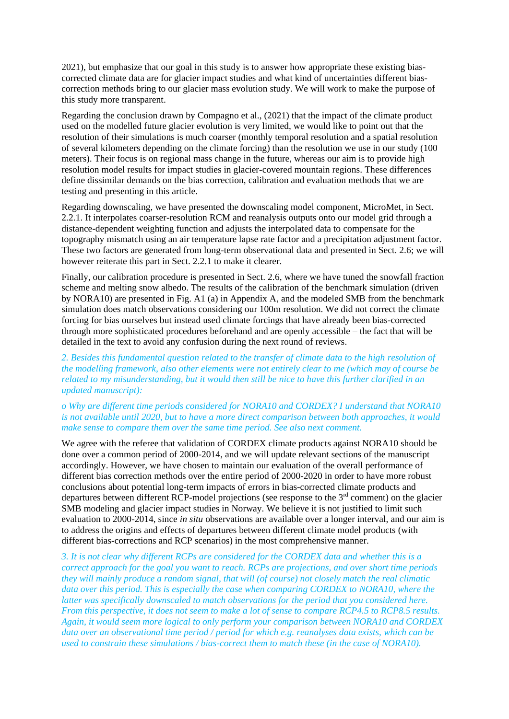2021), but emphasize that our goal in this study is to answer how appropriate these existing biascorrected climate data are for glacier impact studies and what kind of uncertainties different biascorrection methods bring to our glacier mass evolution study. We will work to make the purpose of this study more transparent.

Regarding the conclusion drawn by Compagno et al., (2021) that the impact of the climate product used on the modelled future glacier evolution is very limited, we would like to point out that the resolution of their simulations is much coarser (monthly temporal resolution and a spatial resolution of several kilometers depending on the climate forcing) than the resolution we use in our study (100 meters). Their focus is on regional mass change in the future, whereas our aim is to provide high resolution model results for impact studies in glacier-covered mountain regions. These differences define dissimilar demands on the bias correction, calibration and evaluation methods that we are testing and presenting in this article.

Regarding downscaling, we have presented the downscaling model component, MicroMet, in Sect. 2.2.1. It interpolates coarser-resolution RCM and reanalysis outputs onto our model grid through a distance-dependent weighting function and adjusts the interpolated data to compensate for the topography mismatch using an air temperature lapse rate factor and a precipitation adjustment factor. These two factors are generated from long-term observational data and presented in Sect. 2.6; we will however reiterate this part in Sect. 2.2.1 to make it clearer.

Finally, our calibration procedure is presented in Sect. 2.6, where we have tuned the snowfall fraction scheme and melting snow albedo. The results of the calibration of the benchmark simulation (driven by NORA10) are presented in Fig. A1 (a) in Appendix A, and the modeled SMB from the benchmark simulation does match observations considering our 100m resolution. We did not correct the climate forcing for bias ourselves but instead used climate forcings that have already been bias-corrected through more sophisticated procedures beforehand and are openly accessible – the fact that will be detailed in the text to avoid any confusion during the next round of reviews.

### *2. Besides this fundamental question related to the transfer of climate data to the high resolution of the modelling framework, also other elements were not entirely clear to me (which may of course be related to my misunderstanding, but it would then still be nice to have this further clarified in an updated manuscript):*

### *o Why are different time periods considered for NORA10 and CORDEX? I understand that NORA10 is not available until 2020, but to have a more direct comparison between both approaches, it would make sense to compare them over the same time period. See also next comment.*

We agree with the referee that validation of CORDEX climate products against NORA10 should be done over a common period of 2000-2014, and we will update relevant sections of the manuscript accordingly. However, we have chosen to maintain our evaluation of the overall performance of different bias correction methods over the entire period of 2000-2020 in order to have more robust conclusions about potential long-term impacts of errors in bias-corrected climate products and departures between different RCP-model projections (see response to the  $3<sup>rd</sup>$  comment) on the glacier SMB modeling and glacier impact studies in Norway. We believe it is not justified to limit such evaluation to 2000-2014, since *in situ* observations are available over a longer interval, and our aim is to address the origins and effects of departures between different climate model products (with different bias-corrections and RCP scenarios) in the most comprehensive manner.

*3. It is not clear why different RCPs are considered for the CORDEX data and whether this is a correct approach for the goal you want to reach. RCPs are projections, and over short time periods they will mainly produce a random signal, that will (of course) not closely match the real climatic data over this period. This is especially the case when comparing CORDEX to NORA10, where the latter was specifically downscaled to match observations for the period that you considered here. From this perspective, it does not seem to make a lot of sense to compare RCP4.5 to RCP8.5 results. Again, it would seem more logical to only perform your comparison between NORA10 and CORDEX data over an observational time period / period for which e.g. reanalyses data exists, which can be used to constrain these simulations / bias-correct them to match these (in the case of NORA10).*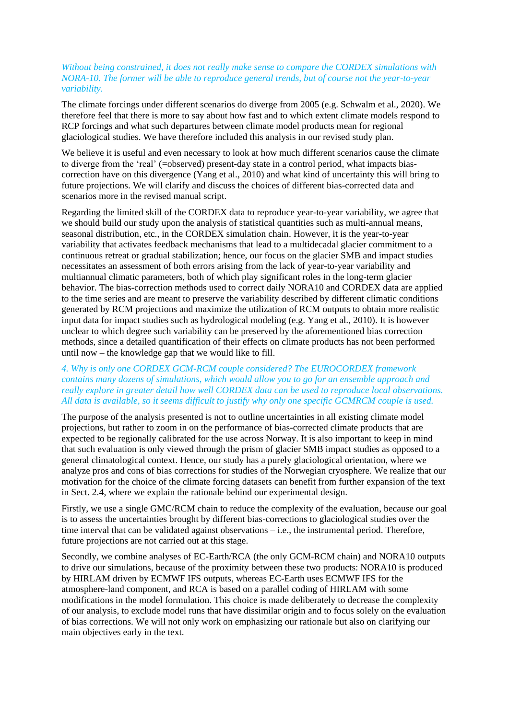### *Without being constrained, it does not really make sense to compare the CORDEX simulations with NORA-10. The former will be able to reproduce general trends, but of course not the year-to-year variability.*

The climate forcings under different scenarios do diverge from 2005 (e.g. Schwalm et al., 2020). We therefore feel that there is more to say about how fast and to which extent climate models respond to RCP forcings and what such departures between climate model products mean for regional glaciological studies. We have therefore included this analysis in our revised study plan.

We believe it is useful and even necessary to look at how much different scenarios cause the climate to diverge from the 'real' (=observed) present-day state in a control period, what impacts biascorrection have on this divergence (Yang et al., 2010) and what kind of uncertainty this will bring to future projections. We will clarify and discuss the choices of different bias-corrected data and scenarios more in the revised manual script.

Regarding the limited skill of the CORDEX data to reproduce year-to-year variability, we agree that we should build our study upon the analysis of statistical quantities such as multi-annual means, seasonal distribution, etc., in the CORDEX simulation chain. However, it is the year-to-year variability that activates feedback mechanisms that lead to a multidecadal glacier commitment to a continuous retreat or gradual stabilization; hence, our focus on the glacier SMB and impact studies necessitates an assessment of both errors arising from the lack of year-to-year variability and multiannual climatic parameters, both of which play significant roles in the long-term glacier behavior. The bias-correction methods used to correct daily NORA10 and CORDEX data are applied to the time series and are meant to preserve the variability described by different climatic conditions generated by RCM projections and maximize the utilization of RCM outputs to obtain more realistic input data for impact studies such as hydrological modeling (e.g. Yang et al., 2010). It is however unclear to which degree such variability can be preserved by the aforementioned bias correction methods, since a detailed quantification of their effects on climate products has not been performed until now – the knowledge gap that we would like to fill.

### *4. Why is only one CORDEX GCM-RCM couple considered? The EUROCORDEX framework contains many dozens of simulations, which would allow you to go for an ensemble approach and really explore in greater detail how well CORDEX data can be used to reproduce local observations. All data is available, so it seems difficult to justify why only one specific GCMRCM couple is used.*

The purpose of the analysis presented is not to outline uncertainties in all existing climate model projections, but rather to zoom in on the performance of bias-corrected climate products that are expected to be regionally calibrated for the use across Norway. It is also important to keep in mind that such evaluation is only viewed through the prism of glacier SMB impact studies as opposed to a general climatological context. Hence, our study has a purely glaciological orientation, where we analyze pros and cons of bias corrections for studies of the Norwegian cryosphere. We realize that our motivation for the choice of the climate forcing datasets can benefit from further expansion of the text in Sect. 2.4, where we explain the rationale behind our experimental design.

Firstly, we use a single GMC/RCM chain to reduce the complexity of the evaluation, because our goal is to assess the uncertainties brought by different bias-corrections to glaciological studies over the time interval that can be validated against observations – i.e., the instrumental period. Therefore, future projections are not carried out at this stage.

Secondly, we combine analyses of EC-Earth/RCA (the only GCM-RCM chain) and NORA10 outputs to drive our simulations, because of the proximity between these two products: NORA10 is produced by HIRLAM driven by ECMWF IFS outputs, whereas EC-Earth uses ECMWF IFS for the atmosphere-land component, and RCA is based on a parallel coding of HIRLAM with some modifications in the model formulation. This choice is made deliberately to decrease the complexity of our analysis, to exclude model runs that have dissimilar origin and to focus solely on the evaluation of bias corrections. We will not only work on emphasizing our rationale but also on clarifying our main objectives early in the text.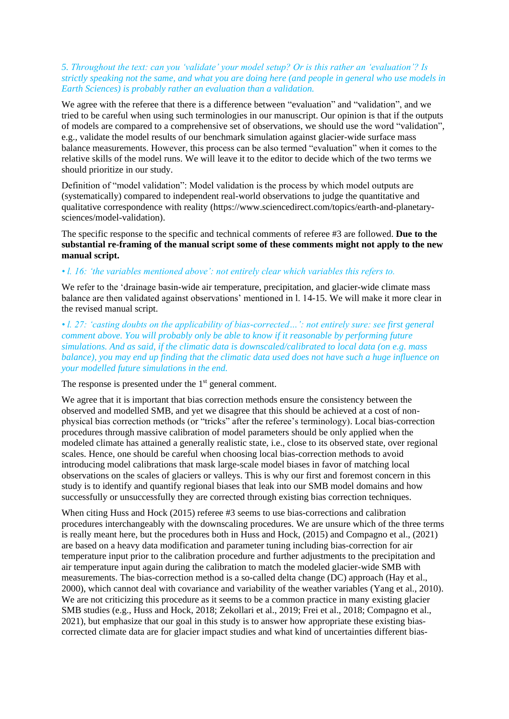## *5. Throughout the text: can you 'validate' your model setup? Or is this rather an 'evaluation'? Is strictly speaking not the same, and what you are doing here (and people in general who use models in Earth Sciences) is probably rather an evaluation than a validation.*

We agree with the referee that there is a difference between "evaluation" and "validation", and we tried to be careful when using such terminologies in our manuscript. Our opinion is that if the outputs of models are compared to a comprehensive set of observations, we should use the word "validation", e.g., validate the model results of our benchmark simulation against glacier-wide surface mass balance measurements. However, this process can be also termed "evaluation" when it comes to the relative skills of the model runs. We will leave it to the editor to decide which of the two terms we should prioritize in our study.

Definition of "model validation": Model validation is the process by which model outputs are (systematically) compared to independent real-world observations to judge the quantitative and qualitative correspondence with reality (https://www.sciencedirect.com/topics/earth-and-planetarysciences/model-validation).

The specific response to the specific and technical comments of referee #3 are followed. **Due to the substantial re-framing of the manual script some of these comments might not apply to the new manual script.**

### *• l. 16: 'the variables mentioned above': not entirely clear which variables this refers to.*

We refer to the 'drainage basin-wide air temperature, precipitation, and glacier-wide climate mass balance are then validated against observations' mentioned in l. 14-15. We will make it more clear in the revised manual script.

*• l. 27: 'casting doubts on the applicability of bias-corrected…': not entirely sure: see first general comment above. You will probably only be able to know if it reasonable by performing future simulations. And as said, if the climatic data is downscaled/calibrated to local data (on e.g. mass balance), you may end up finding that the climatic data used does not have such a huge influence on your modelled future simulations in the end.*

The response is presented under the  $1<sup>st</sup>$  general comment.

We agree that it is important that bias correction methods ensure the consistency between the observed and modelled SMB, and yet we disagree that this should be achieved at a cost of nonphysical bias correction methods (or "tricks" after the referee's terminology). Local bias-correction procedures through massive calibration of model parameters should be only applied when the modeled climate has attained a generally realistic state, i.e., close to its observed state, over regional scales. Hence, one should be careful when choosing local bias-correction methods to avoid introducing model calibrations that mask large-scale model biases in favor of matching local observations on the scales of glaciers or valleys. This is why our first and foremost concern in this study is to identify and quantify regional biases that leak into our SMB model domains and how successfully or unsuccessfully they are corrected through existing bias correction techniques.

When citing Huss and Hock (2015) referee #3 seems to use bias-corrections and calibration procedures interchangeably with the downscaling procedures. We are unsure which of the three terms is really meant here, but the procedures both in Huss and Hock, (2015) and Compagno et al., (2021) are based on a heavy data modification and parameter tuning including bias-correction for air temperature input prior to the calibration procedure and further adjustments to the precipitation and air temperature input again during the calibration to match the modeled glacier-wide SMB with measurements. The bias-correction method is a so-called delta change (DC) approach (Hay et al., 2000), which cannot deal with covariance and variability of the weather variables (Yang et al., 2010). We are not criticizing this procedure as it seems to be a common practice in many existing glacier SMB studies (e.g., Huss and Hock, 2018; Zekollari et al., 2019; Frei et al., 2018; Compagno et al., 2021), but emphasize that our goal in this study is to answer how appropriate these existing biascorrected climate data are for glacier impact studies and what kind of uncertainties different bias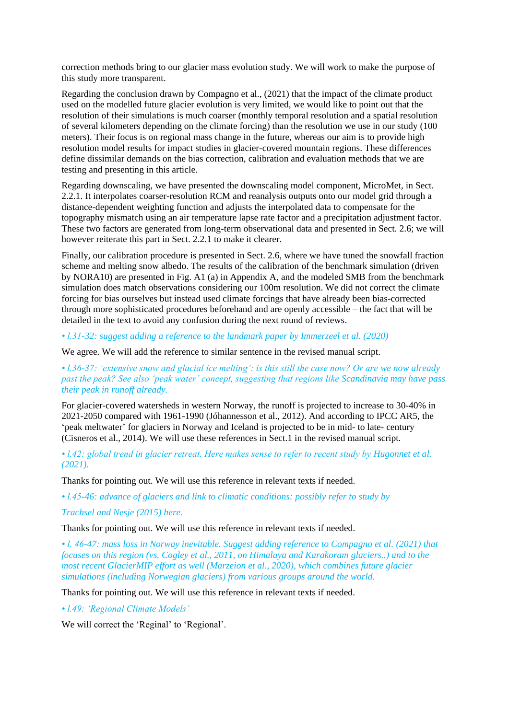correction methods bring to our glacier mass evolution study. We will work to make the purpose of this study more transparent.

Regarding the conclusion drawn by Compagno et al., (2021) that the impact of the climate product used on the modelled future glacier evolution is very limited, we would like to point out that the resolution of their simulations is much coarser (monthly temporal resolution and a spatial resolution of several kilometers depending on the climate forcing) than the resolution we use in our study (100 meters). Their focus is on regional mass change in the future, whereas our aim is to provide high resolution model results for impact studies in glacier-covered mountain regions. These differences define dissimilar demands on the bias correction, calibration and evaluation methods that we are testing and presenting in this article.

Regarding downscaling, we have presented the downscaling model component, MicroMet, in Sect. 2.2.1. It interpolates coarser-resolution RCM and reanalysis outputs onto our model grid through a distance-dependent weighting function and adjusts the interpolated data to compensate for the topography mismatch using an air temperature lapse rate factor and a precipitation adjustment factor. These two factors are generated from long-term observational data and presented in Sect. 2.6; we will however reiterate this part in Sect. 2.2.1 to make it clearer.

Finally, our calibration procedure is presented in Sect. 2.6, where we have tuned the snowfall fraction scheme and melting snow albedo. The results of the calibration of the benchmark simulation (driven by NORA10) are presented in Fig. A1 (a) in Appendix A, and the modeled SMB from the benchmark simulation does match observations considering our 100m resolution. We did not correct the climate forcing for bias ourselves but instead used climate forcings that have already been bias-corrected through more sophisticated procedures beforehand and are openly accessible – the fact that will be detailed in the text to avoid any confusion during the next round of reviews.

*• l.31-32: suggest adding a reference to the landmark paper by Immerzeel et al. (2020)*

We agree. We will add the reference to similar sentence in the revised manual script.

*• l.36-37: 'extensive snow and glacial ice melting': is this still the case now? Or are we now already past the peak? See also 'peak water' concept, suggesting that regions like Scandinavia may have pass their peak in runoff already.*

For glacier-covered watersheds in western Norway, the runoff is projected to increase to 30-40% in 2021-2050 compared with 1961-1990 (Jóhannesson et al., 2012). And according to IPCC AR5, the 'peak meltwater' for glaciers in Norway and Iceland is projected to be in mid- to late- century (Cisneros et al., 2014). We will use these references in Sect.1 in the revised manual script.

*• l.42: global trend in glacier retreat. Here makes sense to refer to recent study by Hugonnet et al. (2021).*

Thanks for pointing out. We will use this reference in relevant texts if needed.

*• l.45-46: advance of glaciers and link to climatic conditions: possibly refer to study by*

*Trachsel and Nesje (2015) here.*

Thanks for pointing out. We will use this reference in relevant texts if needed.

*• l. 46-47: mass loss in Norway inevitable. Suggest adding reference to Compagno et al. (2021) that focuses on this region (vs. Cogley et al., 2011, on Himalaya and Karakoram glaciers..) and to the most recent GlacierMIP effort as well (Marzeion et al., 2020), which combines future glacier simulations (including Norwegian glaciers) from various groups around the world.*

Thanks for pointing out. We will use this reference in relevant texts if needed.

*• l.49: 'Regional Climate Models'*

We will correct the 'Reginal' to 'Regional'.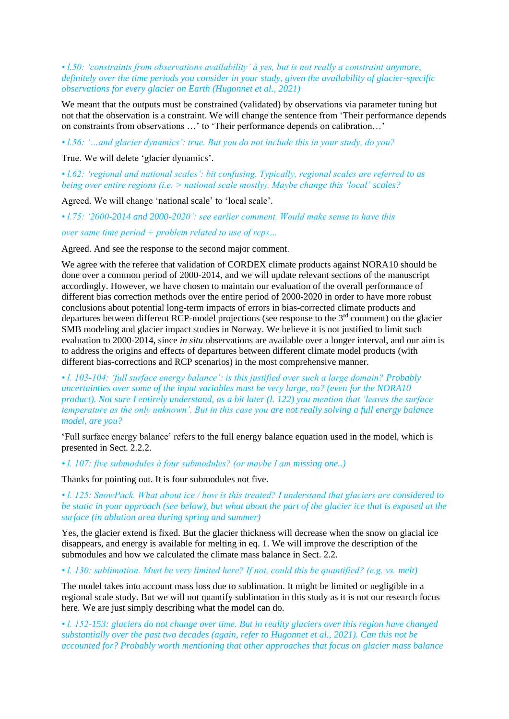*• l.50: 'constraints from observations availability' à yes, but is not really a constraint anymore, definitely over the time periods you consider in your study, given the availability of glacier-specific observations for every glacier on Earth (Hugonnet et al., 2021)*

We meant that the outputs must be constrained (validated) by observations via parameter tuning but not that the observation is a constraint. We will change the sentence from 'Their performance depends on constraints from observations …' to 'Their performance depends on calibration…'

*• l.56: '…and glacier dynamics': true. But you do not include this in your study, do you?*

True. We will delete 'glacier dynamics'.

*• l.62: 'regional and national scales': bit confusing. Typically, regional scales are referred to as being over entire regions (i.e. > national scale mostly). Maybe change this 'local' scales?*

Agreed. We will change 'national scale' to 'local scale'.

*• l.75: '2000-2014 and 2000-2020': see earlier comment. Would make sense to have this*

*over same time period + problem related to use of rcps…*

Agreed. And see the response to the second major comment.

We agree with the referee that validation of CORDEX climate products against NORA10 should be done over a common period of 2000-2014, and we will update relevant sections of the manuscript accordingly. However, we have chosen to maintain our evaluation of the overall performance of different bias correction methods over the entire period of 2000-2020 in order to have more robust conclusions about potential long-term impacts of errors in bias-corrected climate products and departures between different RCP-model projections (see response to the 3<sup>rd</sup> comment) on the glacier SMB modeling and glacier impact studies in Norway. We believe it is not justified to limit such evaluation to 2000-2014, since *in situ* observations are available over a longer interval, and our aim is to address the origins and effects of departures between different climate model products (with different bias-corrections and RCP scenarios) in the most comprehensive manner.

*• l. 103-104: 'full surface energy balance': is this justified over such a large domain? Probably uncertainties over some of the input variables must be very large, no? (even for the NORA10 product). Not sure I entirely understand, as a bit later (l. 122) you mention that 'leaves the surface temperature as the only unknown'. But in this case you are not really solving a full energy balance model, are you?*

'Full surface energy balance' refers to the full energy balance equation used in the model, which is presented in Sect. 2.2.2.

*• l. 107: five submodules à four submodules? (or maybe I am missing one..)*

Thanks for pointing out. It is four submodules not five.

*• l. 125: SnowPack. What about ice / how is this treated? I understand that glaciers are considered to be static in your approach (see below), but what about the part of the glacier ice that is exposed at the surface (in ablation area during spring and summer)*

Yes, the glacier extend is fixed. But the glacier thickness will decrease when the snow on glacial ice disappears, and energy is available for melting in eq. 1. We will improve the description of the submodules and how we calculated the climate mass balance in Sect. 2.2.

*• l. 130: sublimation. Must be very limited here? If not, could this be quantified? (e.g. vs. melt)*

The model takes into account mass loss due to sublimation. It might be limited or negligible in a regional scale study. But we will not quantify sublimation in this study as it is not our research focus here. We are just simply describing what the model can do.

• *l. 152-153: glaciers do not change over time. But in reality glaciers over this region have changed substantially over the past two decades (again, refer to Hugonnet et al., 2021). Can this not be accounted for? Probably worth mentioning that other approaches that focus on glacier mass balance*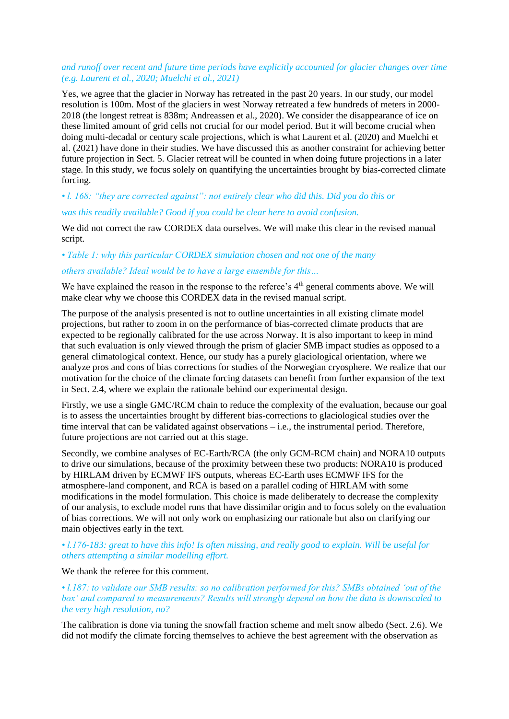### *and runoff over recent and future time periods have explicitly accounted for glacier changes over time (e.g. Laurent et al., 2020; Muelchi et al., 2021)*

Yes, we agree that the glacier in Norway has retreated in the past 20 years. In our study, our model resolution is 100m. Most of the glaciers in west Norway retreated a few hundreds of meters in 2000- 2018 (the longest retreat is 838m; Andreassen et al., 2020). We consider the disappearance of ice on these limited amount of grid cells not crucial for our model period. But it will become crucial when doing multi-decadal or century scale projections, which is what Laurent et al. (2020) and Muelchi et al. (2021) have done in their studies. We have discussed this as another constraint for achieving better future projection in Sect. 5. Glacier retreat will be counted in when doing future projections in a later stage. In this study, we focus solely on quantifying the uncertainties brought by bias-corrected climate forcing.

# *• l. 168: "they are corrected against": not entirely clear who did this. Did you do this or*

### *was this readily available? Good if you could be clear here to avoid confusion.*

We did not correct the raw CORDEX data ourselves. We will make this clear in the revised manual script.

#### *• Table 1: why this particular CORDEX simulation chosen and not one of the many*

### *others available? Ideal would be to have a large ensemble for this…*

We have explained the reason in the response to the referee's 4<sup>th</sup> general comments above. We will make clear why we choose this CORDEX data in the revised manual script.

The purpose of the analysis presented is not to outline uncertainties in all existing climate model projections, but rather to zoom in on the performance of bias-corrected climate products that are expected to be regionally calibrated for the use across Norway. It is also important to keep in mind that such evaluation is only viewed through the prism of glacier SMB impact studies as opposed to a general climatological context. Hence, our study has a purely glaciological orientation, where we analyze pros and cons of bias corrections for studies of the Norwegian cryosphere. We realize that our motivation for the choice of the climate forcing datasets can benefit from further expansion of the text in Sect. 2.4, where we explain the rationale behind our experimental design.

Firstly, we use a single GMC/RCM chain to reduce the complexity of the evaluation, because our goal is to assess the uncertainties brought by different bias-corrections to glaciological studies over the time interval that can be validated against observations – i.e., the instrumental period. Therefore, future projections are not carried out at this stage.

Secondly, we combine analyses of EC-Earth/RCA (the only GCM-RCM chain) and NORA10 outputs to drive our simulations, because of the proximity between these two products: NORA10 is produced by HIRLAM driven by ECMWF IFS outputs, whereas EC-Earth uses ECMWF IFS for the atmosphere-land component, and RCA is based on a parallel coding of HIRLAM with some modifications in the model formulation. This choice is made deliberately to decrease the complexity of our analysis, to exclude model runs that have dissimilar origin and to focus solely on the evaluation of bias corrections. We will not only work on emphasizing our rationale but also on clarifying our main objectives early in the text.

• *l.176-183: great to have this info! Is often missing, and really good to explain. Will be useful for others attempting a similar modelling effort.*

#### We thank the referee for this comment.

*• l.187: to validate our SMB results: so no calibration performed for this? SMBs obtained 'out of the box' and compared to measurements? Results will strongly depend on how the data is downscaled to the very high resolution, no?*

The calibration is done via tuning the snowfall fraction scheme and melt snow albedo (Sect. 2.6). We did not modify the climate forcing themselves to achieve the best agreement with the observation as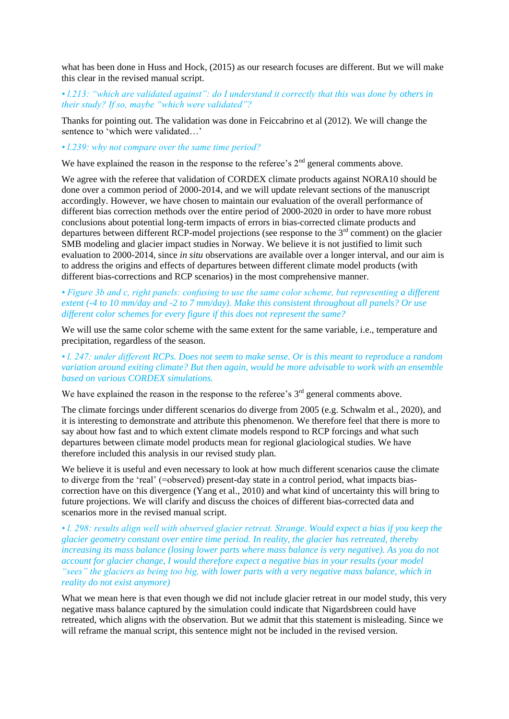what has been done in Huss and Hock, (2015) as our research focuses are different. But we will make this clear in the revised manual script.

*• l.213: "which are validated against": do I understand it correctly that this was done by others in their study? If so, maybe "which were validated"?*

Thanks for pointing out. The validation was done in Feiccabrino et al (2012). We will change the sentence to 'which were validated…'

*• l.239: why not compare over the same time period?*

We have explained the reason in the response to the referee's  $2<sup>nd</sup>$  general comments above.

We agree with the referee that validation of CORDEX climate products against NORA10 should be done over a common period of 2000-2014, and we will update relevant sections of the manuscript accordingly. However, we have chosen to maintain our evaluation of the overall performance of different bias correction methods over the entire period of 2000-2020 in order to have more robust conclusions about potential long-term impacts of errors in bias-corrected climate products and departures between different RCP-model projections (see response to the  $3<sup>rd</sup>$  comment) on the glacier SMB modeling and glacier impact studies in Norway. We believe it is not justified to limit such evaluation to 2000-2014, since *in situ* observations are available over a longer interval, and our aim is to address the origins and effects of departures between different climate model products (with different bias-corrections and RCP scenarios) in the most comprehensive manner.

*• Figure 3b and c, right panels: confusing to use the same color scheme, but representing a different extent (-4 to 10 mm/day and -2 to 7 mm/day). Make this consistent throughout all panels? Or use different color schemes for every figure if this does not represent the same?*

We will use the same color scheme with the same extent for the same variable, i.e., temperature and precipitation, regardless of the season.

*• l. 247: under different RCPs. Does not seem to make sense. Or is this meant to reproduce a random variation around exiting climate? But then again, would be more advisable to work with an ensemble based on various CORDEX simulations.*

We have explained the reason in the response to the referee's  $3<sup>rd</sup>$  general comments above.

The climate forcings under different scenarios do diverge from 2005 (e.g. Schwalm et al., 2020), and it is interesting to demonstrate and attribute this phenomenon. We therefore feel that there is more to say about how fast and to which extent climate models respond to RCP forcings and what such departures between climate model products mean for regional glaciological studies. We have therefore included this analysis in our revised study plan.

We believe it is useful and even necessary to look at how much different scenarios cause the climate to diverge from the 'real' (=observed) present-day state in a control period, what impacts biascorrection have on this divergence (Yang et al., 2010) and what kind of uncertainty this will bring to future projections. We will clarify and discuss the choices of different bias-corrected data and scenarios more in the revised manual script.

*• l. 298: results align well with observed glacier retreat. Strange. Would expect a bias if you keep the glacier geometry constant over entire time period. In reality, the glacier has retreated, thereby increasing its mass balance (losing lower parts where mass balance is very negative). As you do not account for glacier change, I would therefore expect a negative bias in your results (your model "sees" the glaciers as being too big, with lower parts with a very negative mass balance, which in reality do not exist anymore)*

What we mean here is that even though we did not include glacier retreat in our model study, this very negative mass balance captured by the simulation could indicate that Nigardsbreen could have retreated, which aligns with the observation. But we admit that this statement is misleading. Since we will reframe the manual script, this sentence might not be included in the revised version.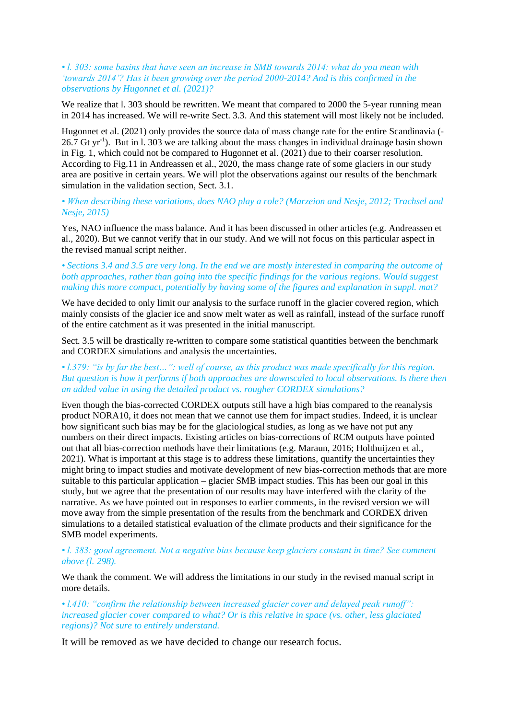#### *• l. 303: some basins that have seen an increase in SMB towards 2014: what do you mean with 'towards 2014'? Has it been growing over the period 2000-2014? And is this confirmed in the observations by Hugonnet et al. (2021)?*

We realize that 1, 303 should be rewritten. We meant that compared to 2000 the 5-year running mean in 2014 has increased. We will re-write Sect. 3.3. And this statement will most likely not be included.

Hugonnet et al. (2021) only provides the source data of mass change rate for the entire Scandinavia (-  $26.7$  Gt yr<sup>-1</sup>). But in l. 303 we are talking about the mass changes in individual drainage basin shown in Fig. 1, which could not be compared to Hugonnet et al. (2021) due to their coarser resolution. According to Fig.11 in Andreassen et al., 2020, the mass change rate of some glaciers in our study area are positive in certain years. We will plot the observations against our results of the benchmark simulation in the validation section, Sect. 3.1.

### *• When describing these variations, does NAO play a role? (Marzeion and Nesje, 2012; Trachsel and Nesje, 2015)*

Yes, NAO influence the mass balance. And it has been discussed in other articles (e.g. Andreassen et al., 2020). But we cannot verify that in our study. And we will not focus on this particular aspect in the revised manual script neither.

# • Sections 3.4 and 3.5 are very long. In the end we are mostly interested in comparing the outcome of *both approaches, rather than going into the specific findings for the various regions. Would suggest making this more compact, potentially by having some of the figures and explanation in suppl. mat?*

We have decided to only limit our analysis to the surface runoff in the glacier covered region, which mainly consists of the glacier ice and snow melt water as well as rainfall, instead of the surface runoff of the entire catchment as it was presented in the initial manuscript.

Sect. 3.5 will be drastically re-written to compare some statistical quantities between the benchmark and CORDEX simulations and analysis the uncertainties.

#### • *l.379: "is by far the best...": well of course, as this product was made specifically for this region. But question is how it performs if both approaches are downscaled to local observations. Is there then an added value in using the detailed product vs. rougher CORDEX simulations?*

Even though the bias-corrected CORDEX outputs still have a high bias compared to the reanalysis product NORA10, it does not mean that we cannot use them for impact studies. Indeed, it is unclear how significant such bias may be for the glaciological studies, as long as we have not put any numbers on their direct impacts. Existing articles on bias-corrections of RCM outputs have pointed out that all bias-correction methods have their limitations (e.g. Maraun, 2016; Holthuijzen et al., 2021). What is important at this stage is to address these limitations, quantify the uncertainties they might bring to impact studies and motivate development of new bias-correction methods that are more suitable to this particular application – glacier SMB impact studies. This has been our goal in this study, but we agree that the presentation of our results may have interfered with the clarity of the narrative. As we have pointed out in responses to earlier comments, in the revised version we will move away from the simple presentation of the results from the benchmark and CORDEX driven simulations to a detailed statistical evaluation of the climate products and their significance for the SMB model experiments.

#### *• l. 383: good agreement. Not a negative bias because keep glaciers constant in time? See comment above (l. 298).*

We thank the comment. We will address the limitations in our study in the revised manual script in more details.

*• l.410: "confirm the relationship between increased glacier cover and delayed peak runoff": increased glacier cover compared to what? Or is this relative in space (vs. other, less glaciated regions)? Not sure to entirely understand.*

It will be removed as we have decided to change our research focus.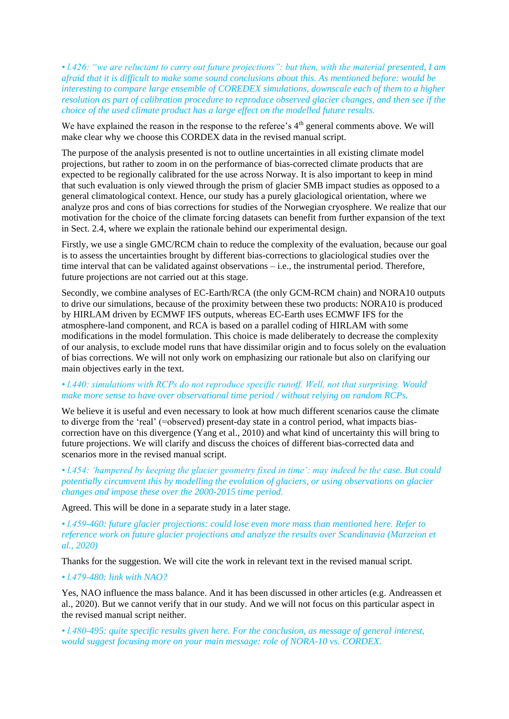• *l.426: "we are reluctant to carry out future projections": but then, with the material presented, I am afraid that it is difficult to make some sound conclusions about this. As mentioned before: would be interesting to compare large ensemble of COREDEX simulations, downscale each of them to a higher resolution as part of calibration procedure to reproduce observed glacier changes, and then see if the choice of the used climate product has a large effect on the modelled future results.*

We have explained the reason in the response to the referee's  $4<sup>th</sup>$  general comments above. We will make clear why we choose this CORDEX data in the revised manual script.

The purpose of the analysis presented is not to outline uncertainties in all existing climate model projections, but rather to zoom in on the performance of bias-corrected climate products that are expected to be regionally calibrated for the use across Norway. It is also important to keep in mind that such evaluation is only viewed through the prism of glacier SMB impact studies as opposed to a general climatological context. Hence, our study has a purely glaciological orientation, where we analyze pros and cons of bias corrections for studies of the Norwegian cryosphere. We realize that our motivation for the choice of the climate forcing datasets can benefit from further expansion of the text in Sect. 2.4, where we explain the rationale behind our experimental design.

Firstly, we use a single GMC/RCM chain to reduce the complexity of the evaluation, because our goal is to assess the uncertainties brought by different bias-corrections to glaciological studies over the time interval that can be validated against observations – i.e., the instrumental period. Therefore, future projections are not carried out at this stage.

Secondly, we combine analyses of EC-Earth/RCA (the only GCM-RCM chain) and NORA10 outputs to drive our simulations, because of the proximity between these two products: NORA10 is produced by HIRLAM driven by ECMWF IFS outputs, whereas EC-Earth uses ECMWF IFS for the atmosphere-land component, and RCA is based on a parallel coding of HIRLAM with some modifications in the model formulation. This choice is made deliberately to decrease the complexity of our analysis, to exclude model runs that have dissimilar origin and to focus solely on the evaluation of bias corrections. We will not only work on emphasizing our rationale but also on clarifying our main objectives early in the text.

### *• l.440: simulations with RCPs do not reproduce specific runoff. Well, not that surprising. Would make more sense to have over observational time period / without relying on random RCPs.*

We believe it is useful and even necessary to look at how much different scenarios cause the climate to diverge from the 'real' (=observed) present-day state in a control period, what impacts biascorrection have on this divergence (Yang et al., 2010) and what kind of uncertainty this will bring to future projections. We will clarify and discuss the choices of different bias-corrected data and scenarios more in the revised manual script.

*• l.454: 'hampered by keeping the glacier geometry fixed in time': may indeed be the case. But could potentially circumvent this by modelling the evolution of glaciers, or using observations on glacier changes and impose these over the 2000-2015 time period.*

Agreed. This will be done in a separate study in a later stage.

*• l.459-460: future glacier projections: could lose even more mass than mentioned here. Refer to reference work on future glacier projections and analyze the results over Scandinavia (Marzeion et al., 2020)*

Thanks for the suggestion. We will cite the work in relevant text in the revised manual script.

#### *• l.479-480: link with NAO?*

Yes, NAO influence the mass balance. And it has been discussed in other articles (e.g. Andreassen et al., 2020). But we cannot verify that in our study. And we will not focus on this particular aspect in the revised manual script neither.

*• l.480-495: quite specific results given here. For the conclusion, as message of general interest, would suggest focusing more on your main message: role of NORA-10 vs. CORDEX.*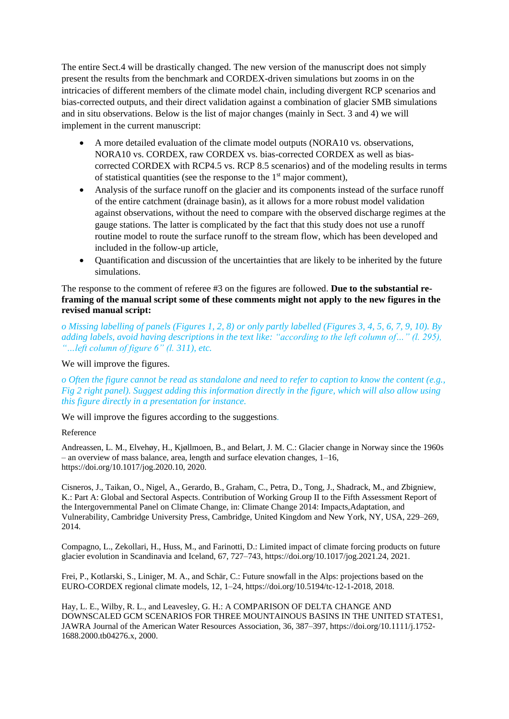The entire Sect.4 will be drastically changed. The new version of the manuscript does not simply present the results from the benchmark and CORDEX-driven simulations but zooms in on the intricacies of different members of the climate model chain, including divergent RCP scenarios and bias-corrected outputs, and their direct validation against a combination of glacier SMB simulations and in situ observations. Below is the list of major changes (mainly in Sect. 3 and 4) we will implement in the current manuscript:

- A more detailed evaluation of the climate model outputs (NORA10 vs. observations, NORA10 vs. CORDEX, raw CORDEX vs. bias-corrected CORDEX as well as biascorrected CORDEX with RCP4.5 vs. RCP 8.5 scenarios) and of the modeling results in terms of statistical quantities (see the response to the  $1<sup>st</sup>$  major comment),
- Analysis of the surface runoff on the glacier and its components instead of the surface runoff of the entire catchment (drainage basin), as it allows for a more robust model validation against observations, without the need to compare with the observed discharge regimes at the gauge stations. The latter is complicated by the fact that this study does not use a runoff routine model to route the surface runoff to the stream flow, which has been developed and included in the follow-up article,
- Quantification and discussion of the uncertainties that are likely to be inherited by the future simulations.

The response to the comment of referee #3 on the figures are followed. **Due to the substantial reframing of the manual script some of these comments might not apply to the new figures in the revised manual script:**

*o Missing labelling of panels (Figures 1, 2, 8) or only partly labelled (Figures 3, 4, 5, 6, 7, 9, 10). By adding labels, avoid having descriptions in the text like: "according to the left column of…" (l. 295), "…left column of figure 6" (l. 311), etc.*

We will improve the figures.

*o Often the figure cannot be read as standalone and need to refer to caption to know the content (e.g., Fig 2 right panel). Suggest adding this information directly in the figure, which will also allow using this figure directly in a presentation for instance.*

We will improve the figures according to the suggestions.

#### Reference

Andreassen, L. M., Elvehøy, H., Kjøllmoen, B., and Belart, J. M. C.: Glacier change in Norway since the 1960s  $-$  an overview of mass balance, area, length and surface elevation changes,  $1$ –16, https://doi.org/10.1017/jog.2020.10, 2020.

Cisneros, J., Taikan, O., Nigel, A., Gerardo, B., Graham, C., Petra, D., Tong, J., Shadrack, M., and Zbigniew, K.: Part A: Global and Sectoral Aspects. Contribution of Working Group II to the Fifth Assessment Report of the Intergovernmental Panel on Climate Change, in: Climate Change 2014: Impacts,Adaptation, and Vulnerability, Cambridge University Press, Cambridge, United Kingdom and New York, NY, USA, 229–269, 2014.

Compagno, L., Zekollari, H., Huss, M., and Farinotti, D.: Limited impact of climate forcing products on future glacier evolution in Scandinavia and Iceland, 67, 727–743, https://doi.org/10.1017/jog.2021.24, 2021.

Frei, P., Kotlarski, S., Liniger, M. A., and Schär, C.: Future snowfall in the Alps: projections based on the EURO-CORDEX regional climate models, 12, 1–24, https://doi.org/10.5194/tc-12-1-2018, 2018.

Hay, L. E., Wilby, R. L., and Leavesley, G. H.: A COMPARISON OF DELTA CHANGE AND DOWNSCALED GCM SCENARIOS FOR THREE MOUNTAINOUS BASINS IN THE UNITED STATES1, JAWRA Journal of the American Water Resources Association, 36, 387–397, https://doi.org/10.1111/j.1752- 1688.2000.tb04276.x, 2000.